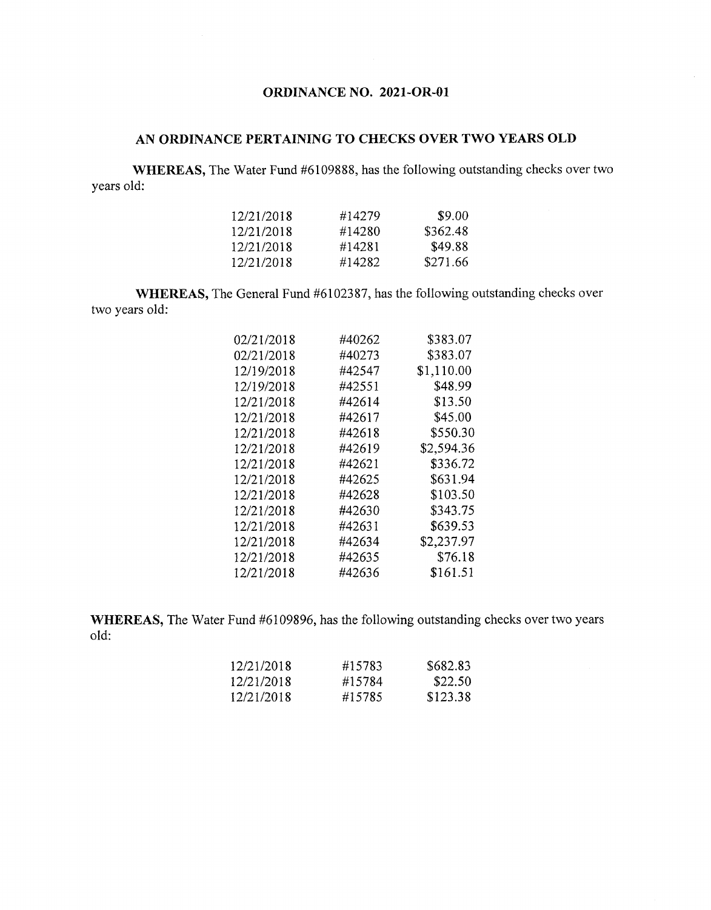## **ORDINANCE NO. 2021-OR-01**

## **AN ORDINANCE PERTAINING TO CHECKS OVER TWO YEARS OLD**

**WHEREAS,** The Water Fund #6109888, has the following outstanding checks over two years old:

| 12/21/2018 | #14279 | \$9.00   |
|------------|--------|----------|
| 12/21/2018 | #14280 | \$362.48 |
| 12/21/2018 | #14281 | \$49.88  |
| 12/21/2018 | #14282 | \$271.66 |

**WHEREAS,** The General Fund #6102387, has the following outstanding checks over two years old;

| 02/21/2018 | #40262 | \$383.07   |
|------------|--------|------------|
| 02/21/2018 | #40273 | \$383.07   |
| 12/19/2018 | #42547 | \$1,110.00 |
| 12/19/2018 | #42551 | \$48.99    |
| 12/21/2018 | #42614 | \$13.50    |
| 12/21/2018 | #42617 | \$45.00    |
| 12/21/2018 | #42618 | \$550.30   |
| 12/21/2018 | #42619 | \$2,594.36 |
| 12/21/2018 | #42621 | \$336.72   |
| 12/21/2018 | #42625 | \$631.94   |
| 12/21/2018 | #42628 | \$103.50   |
| 12/21/2018 | #42630 | \$343.75   |
| 12/21/2018 | #42631 | \$639.53   |
| 12/21/2018 | #42634 | \$2,237.97 |
| 12/21/2018 | #42635 | \$76.18    |
| 12/21/2018 | #42636 | \$161.51   |
|            |        |            |

**WHEREAS,** The Water Fund #6109896, has the following outstanding checks over two years old:

| 12/21/2018 | #15783 | \$682.83 |
|------------|--------|----------|
| 12/21/2018 | #15784 | \$22.50  |
| 12/21/2018 | #15785 | \$123.38 |